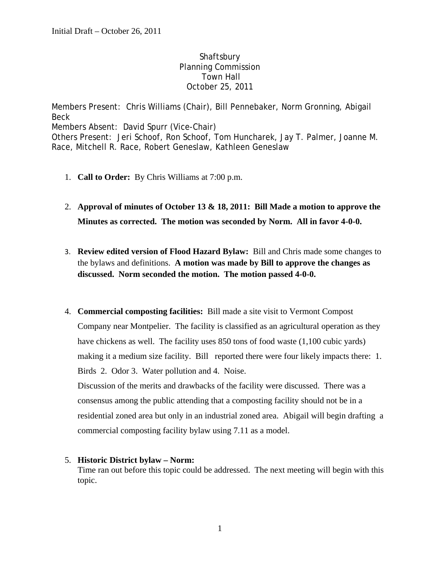## **Shaftsbury**  Planning Commission Town Hall October 25, 2011

Members Present: Chris Williams (Chair), Bill Pennebaker, Norm Gronning, Abigail Beck Members Absent: David Spurr (Vice-Chair) Others Present: Jeri Schoof, Ron Schoof, Tom Huncharek, Jay T. Palmer, Joanne M. Race, Mitchell R. Race, Robert Geneslaw, Kathleen Geneslaw

- 1. **Call to Order:** By Chris Williams at 7:00 p.m.
- 2. **Approval of minutes of October 13 & 18, 2011: Bill Made a motion to approve the Minutes as corrected. The motion was seconded by Norm. All in favor 4-0-0.**
- 3. **Review edited version of Flood Hazard Bylaw:** Bill and Chris made some changes to the bylaws and definitions. **A motion was made by Bill to approve the changes as discussed. Norm seconded the motion. The motion passed 4-0-0.**
- 4. **Commercial composting facilities:** Bill made a site visit to Vermont Compost Company near Montpelier. The facility is classified as an agricultural operation as they have chickens as well. The facility uses 850 tons of food waste (1,100 cubic yards) making it a medium size facility. Bill reported there were four likely impacts there: 1. Birds 2. Odor 3. Water pollution and 4. Noise.

Discussion of the merits and drawbacks of the facility were discussed. There was a consensus among the public attending that a composting facility should not be in a residential zoned area but only in an industrial zoned area. Abigail will begin drafting a commercial composting facility bylaw using 7.11 as a model.

## 5. **Historic District bylaw – Norm:**

Time ran out before this topic could be addressed. The next meeting will begin with this topic.